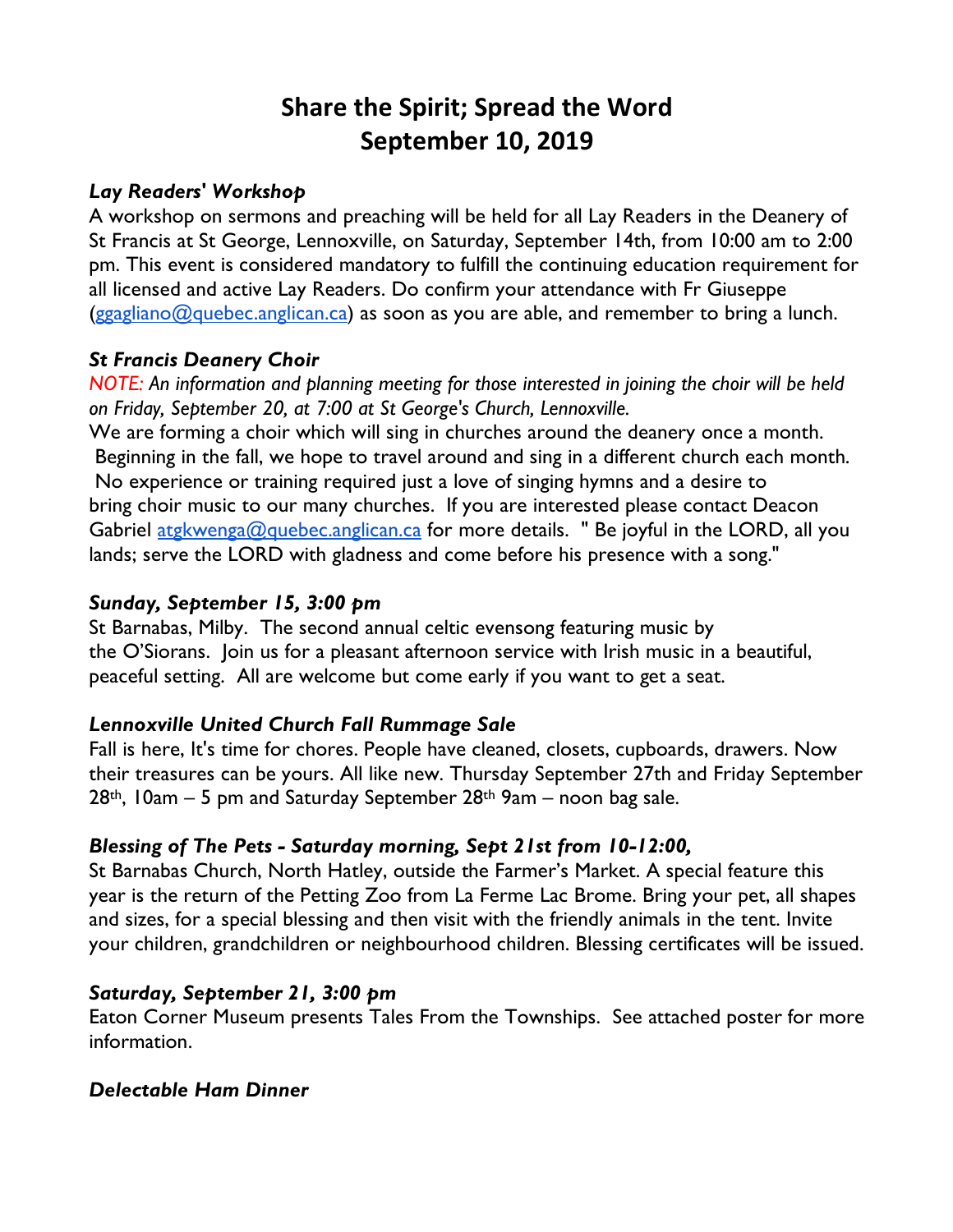# **Share the Spirit; Spread the Word September 10, 2019**

#### *Lay Readers' Workshop*

A workshop on sermons and preaching will be held for all Lay Readers in the Deanery of St Francis at St George, Lennoxville, on Saturday, September 14th, from 10:00 am to 2:00 pm. This event is considered mandatory to fulfill the continuing education requirement for all licensed and active Lay Readers. Do confirm your attendance with Fr Giuseppe  $(ggagliano@quebec.anglican.ca)$  as soon as you are able, and remember to bring a lunch.

### *St Francis Deanery Choir*

*NOTE:* An information and planning meeting for those interested in joining the choir will be held *on Friday, September 20, at 7:00 at St George's Church, Lennoxville.*

We are forming a choir which will sing in churches around the deanery once a month. Beginning in the fall, we hope to travel around and sing in a different church each month. No experience or training required just a love of singing hymns and a desire to bring choir music to our many churches. If you are interested please contact Deacon Gabriel atgkwenga@quebec.anglican.ca for more details. " Be joyful in the LORD, all you lands; serve the LORD with gladness and come before his presence with a song."

### *Sunday, September 15, 3:00 pm*

St Barnabas, Milby. The second annual celtic evensong featuring music by the O'Siorans.Join us for a pleasant afternoon service with Irish music in a beautiful, peaceful setting. All are welcome but come early if you want to get a seat.

### *Lennoxville United Church Fall Rummage Sale*

Fall is here, It's time for chores. People have cleaned, closets, cupboards, drawers. Now their treasures can be yours. All like new. Thursday September 27th and Friday September  $28$ <sup>th</sup>, 10am – 5 pm and Saturday September  $28$ <sup>th</sup> 9am – noon bag sale.

### *Blessing of The Pets - Saturday morning, Sept 21st from 10-12:00,*

St Barnabas Church, North Hatley, outside the Farmer's Market. A special feature this year is the return of the Petting Zoo from La Ferme Lac Brome. Bring your pet, all shapes and sizes, for a special blessing and then visit with the friendly animals in the tent. Invite your children, grandchildren or neighbourhood children. Blessing certificates will be issued.

### *Saturday, September 21, 3:00 pm*

Eaton Corner Museum presents Tales From the Townships. See attached poster for more information.

#### *Delectable Ham Dinner*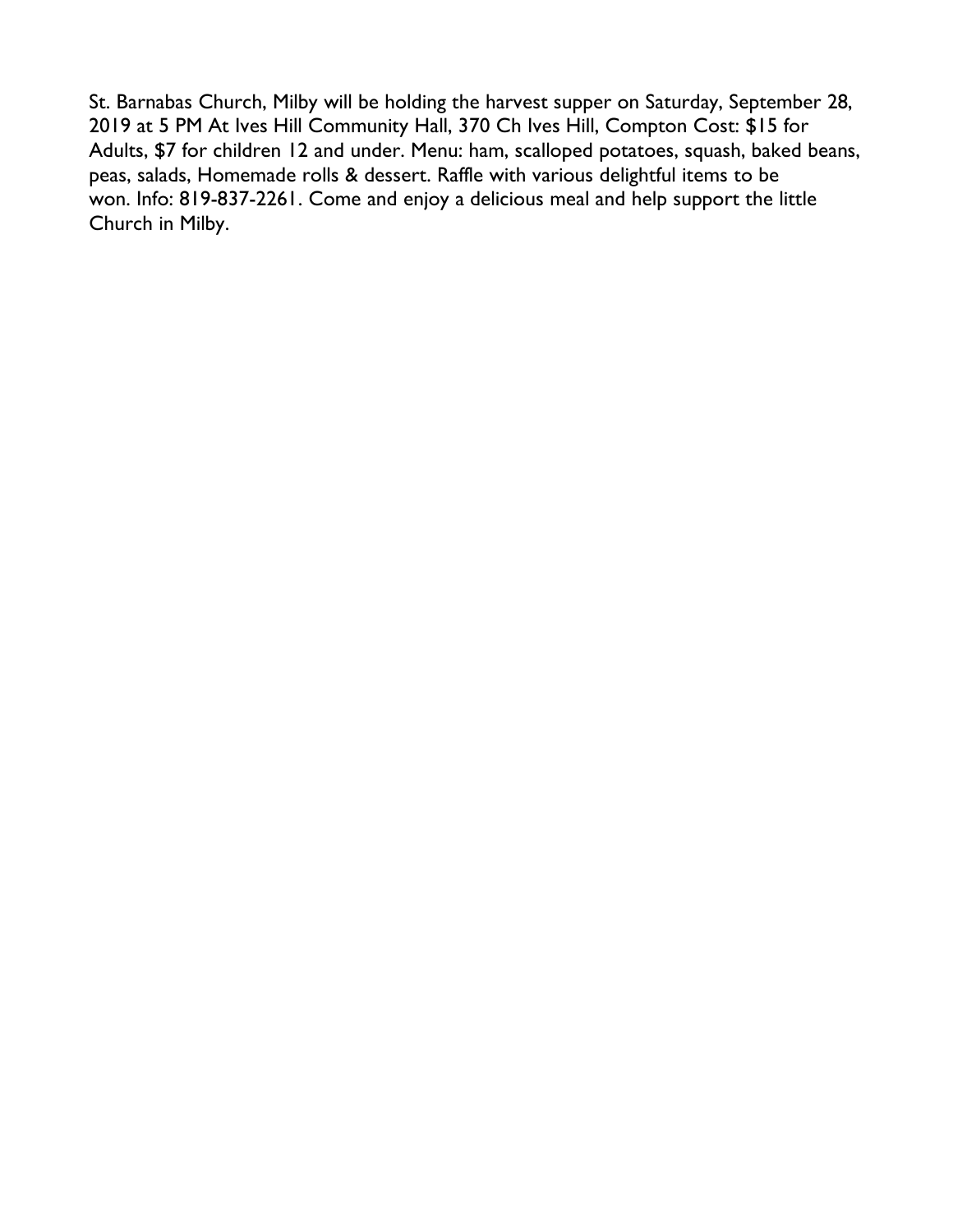St. Barnabas Church, Milby will be holding the harvest supper on Saturday, September 28, 2019 at 5 PM At Ives Hill Community Hall, 370 Ch Ives Hill, Compton Cost: \$15 for Adults, \$7 for children 12 and under. Menu: ham, scalloped potatoes, squash, baked beans, peas, salads, Homemade rolls & dessert. Raffle with various delightful items to be won. Info: 819-837-2261. Come and enjoy a delicious meal and help support the little Church in Milby.